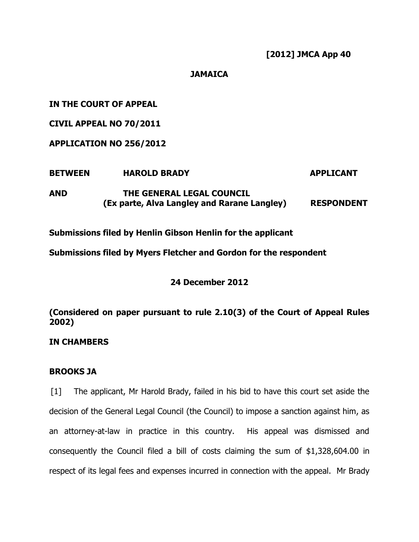**[2012] JMCA App 40**

# **JAMAICA**

**IN THE COURT OF APPEAL**

**CIVIL APPEAL NO 70/2011**

**APPLICATION NO 256/2012**

| <b>BETWEEN</b> | <b>HAROLD BRADY</b>                         | <b>APPLICANT</b>  |
|----------------|---------------------------------------------|-------------------|
| AND            | THE GENERAL LEGAL COUNCIL                   |                   |
|                | (Ex parte, Alva Langley and Rarane Langley) | <b>RESPONDENT</b> |

**Submissions filed by Henlin Gibson Henlin for the applicant**

**Submissions filed by Myers Fletcher and Gordon for the respondent**

**24 December 2012**

**(Considered on paper pursuant to rule 2.10(3) of the Court of Appeal Rules 2002)**

**IN CHAMBERS**

# **BROOKS JA**

[1] The applicant, Mr Harold Brady, failed in his bid to have this court set aside the decision of the General Legal Council (the Council) to impose a sanction against him, as an attorney-at-law in practice in this country. His appeal was dismissed and consequently the Council filed a bill of costs claiming the sum of \$1,328,604.00 in respect of its legal fees and expenses incurred in connection with the appeal. Mr Brady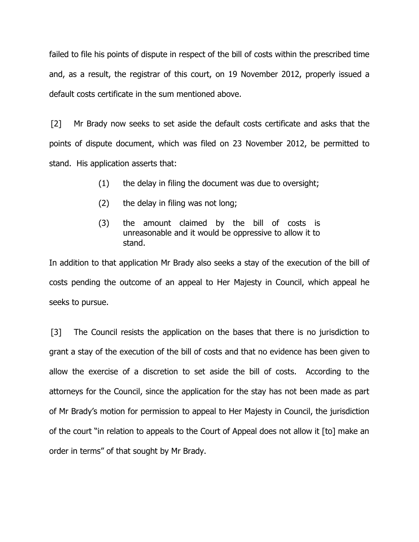failed to file his points of dispute in respect of the bill of costs within the prescribed time and, as a result, the registrar of this court, on 19 November 2012, properly issued a default costs certificate in the sum mentioned above.

[2] Mr Brady now seeks to set aside the default costs certificate and asks that the points of dispute document, which was filed on 23 November 2012, be permitted to stand. His application asserts that:

- (1) the delay in filing the document was due to oversight;
- (2) the delay in filing was not long;
- (3) the amount claimed by the bill of costs is unreasonable and it would be oppressive to allow it to stand.

In addition to that application Mr Brady also seeks a stay of the execution of the bill of costs pending the outcome of an appeal to Her Majesty in Council, which appeal he seeks to pursue.

[3] The Council resists the application on the bases that there is no jurisdiction to grant a stay of the execution of the bill of costs and that no evidence has been given to allow the exercise of a discretion to set aside the bill of costs. According to the attorneys for the Council, since the application for the stay has not been made as part of Mr Brady's motion for permission to appeal to Her Majesty in Council, the jurisdiction of the court "in relation to appeals to the Court of Appeal does not allow it [to] make an order in terms" of that sought by Mr Brady.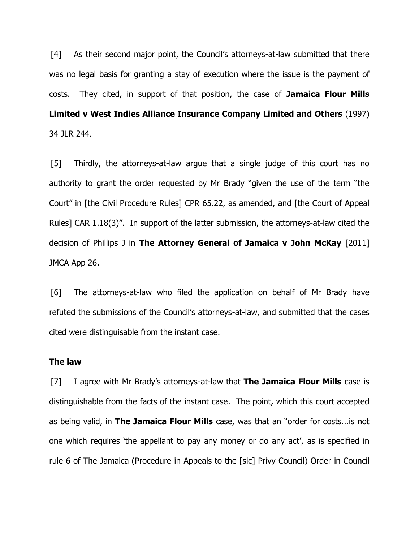[4] As their second major point, the Council's attorneys-at-law submitted that there was no legal basis for granting a stay of execution where the issue is the payment of costs. They cited, in support of that position, the case of **Jamaica Flour Mills Limited v West Indies Alliance Insurance Company Limited and Others** (1997) 34 JLR 244.

[5] Thirdly, the attorneys-at-law argue that a single judge of this court has no authority to grant the order requested by Mr Brady "given the use of the term "the Court" in [the Civil Procedure Rules] CPR 65.22, as amended, and [the Court of Appeal Rules] CAR 1.18(3)". In support of the latter submission, the attorneys-at-law cited the decision of Phillips J in **The Attorney General of Jamaica v John McKay** [2011] JMCA App 26.

[6] The attorneys-at-law who filed the application on behalf of Mr Brady have refuted the submissions of the Council's attorneys-at-law, and submitted that the cases cited were distinguisable from the instant case.

## **The law**

[7] I agree with Mr Brady's attorneys-at-law that **The Jamaica Flour Mills** case is distinguishable from the facts of the instant case. The point, which this court accepted as being valid, in **The Jamaica Flour Mills** case, was that an "order for costs...is not one which requires 'the appellant to pay any money or do any act', as is specified in rule 6 of The Jamaica (Procedure in Appeals to the [sic] Privy Council) Order in Council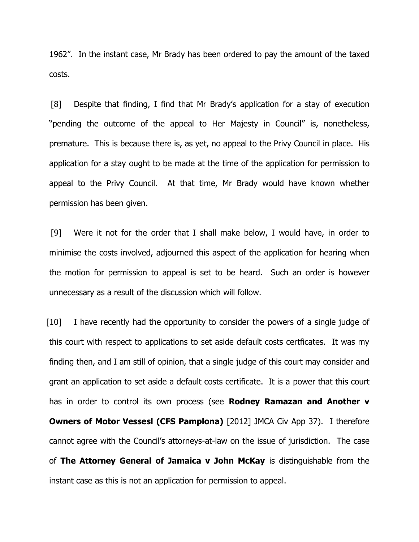1962". In the instant case, Mr Brady has been ordered to pay the amount of the taxed costs.

[8] Despite that finding, I find that Mr Brady's application for a stay of execution "pending the outcome of the appeal to Her Majesty in Council" is, nonetheless, premature. This is because there is, as yet, no appeal to the Privy Council in place. His application for a stay ought to be made at the time of the application for permission to appeal to the Privy Council. At that time, Mr Brady would have known whether permission has been given.

[9] Were it not for the order that I shall make below, I would have, in order to minimise the costs involved, adjourned this aspect of the application for hearing when the motion for permission to appeal is set to be heard. Such an order is however unnecessary as a result of the discussion which will follow.

[10] I have recently had the opportunity to consider the powers of a single judge of this court with respect to applications to set aside default costs certficates. It was my finding then, and I am still of opinion, that a single judge of this court may consider and grant an application to set aside a default costs certificate. It is a power that this court has in order to control its own process (see **Rodney Ramazan and Another v Owners of Motor Vessesl (CFS Pamplona)** [2012] JMCA Civ App 37). I therefore cannot agree with the Council's attorneys-at-law on the issue of jurisdiction. The case of **The Attorney General of Jamaica v John McKay** is distinguishable from the instant case as this is not an application for permission to appeal.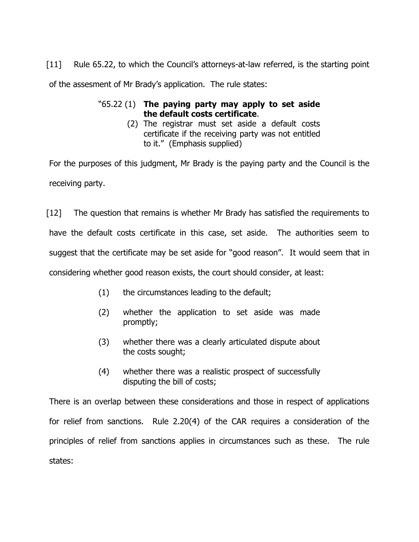[11] Rule 65.22, to which the Council's attorneys-at-law referred, is the starting point of the assesment of Mr Brady's application. The rule states:

# "65.22 (1) **The paying party may apply to set aside the default costs certificate**.

(2) The registrar must set aside a default costs certificate if the receiving party was not entitled to it." (Emphasis supplied)

For the purposes of this judgment, Mr Brady is the paying party and the Council is the receiving party.

[12] The question that remains is whether Mr Brady has satisfied the requirements to have the default costs certificate in this case, set aside. The authorities seem to suggest that the certificate may be set aside for "good reason". It would seem that in considering whether good reason exists, the court should consider, at least:

- (1) the circumstances leading to the default;
- (2) whether the application to set aside was made promptly;
- (3) whether there was a clearly articulated dispute about the costs sought;
- (4) whether there was a realistic prospect of successfully disputing the bill of costs;

There is an overlap between these considerations and those in respect of applications for relief from sanctions. Rule 2.20(4) of the CAR requires a consideration of the principles of relief from sanctions applies in circumstances such as these. The rule states: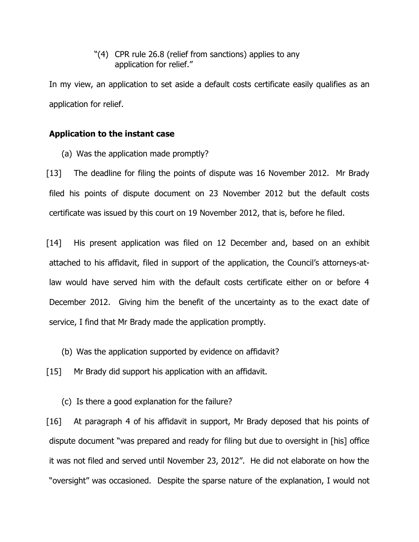"(4) CPR rule 26.8 (relief from sanctions) applies to any application for relief."

In my view, an application to set aside a default costs certificate easily qualifies as an application for relief.

## **Application to the instant case**

(a) Was the application made promptly?

[13] The deadline for filing the points of dispute was 16 November 2012. Mr Brady filed his points of dispute document on 23 November 2012 but the default costs certificate was issued by this court on 19 November 2012, that is, before he filed.

[14] His present application was filed on 12 December and, based on an exhibit attached to his affidavit, filed in support of the application, the Council's attorneys-atlaw would have served him with the default costs certificate either on or before 4 December 2012. Giving him the benefit of the uncertainty as to the exact date of service, I find that Mr Brady made the application promptly.

(b) Was the application supported by evidence on affidavit?

[15] Mr Brady did support his application with an affidavit.

(c) Is there a good explanation for the failure?

[16] At paragraph 4 of his affidavit in support, Mr Brady deposed that his points of dispute document "was prepared and ready for filing but due to oversight in [his] office it was not filed and served until November 23, 2012". He did not elaborate on how the "oversight" was occasioned. Despite the sparse nature of the explanation, I would not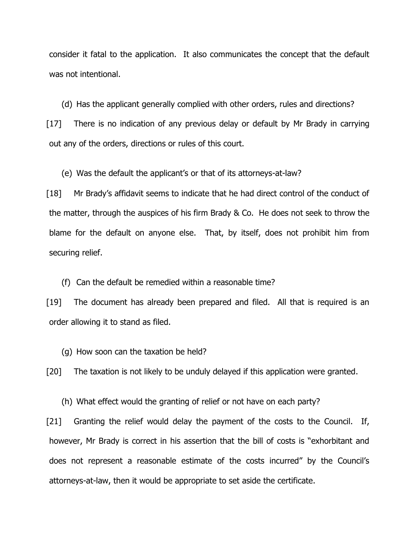consider it fatal to the application. It also communicates the concept that the default was not intentional.

(d) Has the applicant generally complied with other orders, rules and directions? [17] There is no indication of any previous delay or default by Mr Brady in carrying out any of the orders, directions or rules of this court.

(e) Was the default the applicant's or that of its attorneys-at-law?

[18] Mr Brady's affidavit seems to indicate that he had direct control of the conduct of the matter, through the auspices of his firm Brady & Co. He does not seek to throw the blame for the default on anyone else. That, by itself, does not prohibit him from securing relief.

(f) Can the default be remedied within a reasonable time?

[19] The document has already been prepared and filed. All that is required is an order allowing it to stand as filed.

(g) How soon can the taxation be held?

[20] The taxation is not likely to be unduly delayed if this application were granted.

(h) What effect would the granting of relief or not have on each party?

[21] Granting the relief would delay the payment of the costs to the Council. If, however, Mr Brady is correct in his assertion that the bill of costs is "exhorbitant and does not represent a reasonable estimate of the costs incurred" by the Council's attorneys-at-law, then it would be appropriate to set aside the certificate.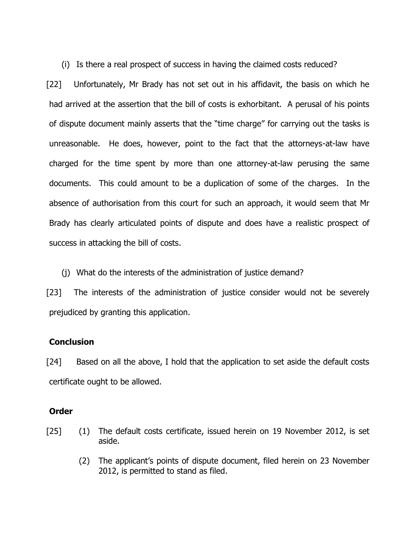(i) Is there a real prospect of success in having the claimed costs reduced?

[22] Unfortunately, Mr Brady has not set out in his affidavit, the basis on which he had arrived at the assertion that the bill of costs is exhorbitant. A perusal of his points of dispute document mainly asserts that the "time charge" for carrying out the tasks is unreasonable. He does, however, point to the fact that the attorneys-at-law have charged for the time spent by more than one attorney-at-law perusing the same documents. This could amount to be a duplication of some of the charges. In the absence of authorisation from this court for such an approach, it would seem that Mr Brady has clearly articulated points of dispute and does have a realistic prospect of success in attacking the bill of costs.

(j) What do the interests of the administration of justice demand?

[23] The interests of the administration of justice consider would not be severely prejudiced by granting this application.

## **Conclusion**

[24] Based on all the above, I hold that the application to set aside the default costs certificate ought to be allowed.

## **Order**

- [25] (1) The default costs certificate, issued herein on 19 November 2012, is set aside.
	- (2) The applicant's points of dispute document, filed herein on 23 November 2012, is permitted to stand as filed.